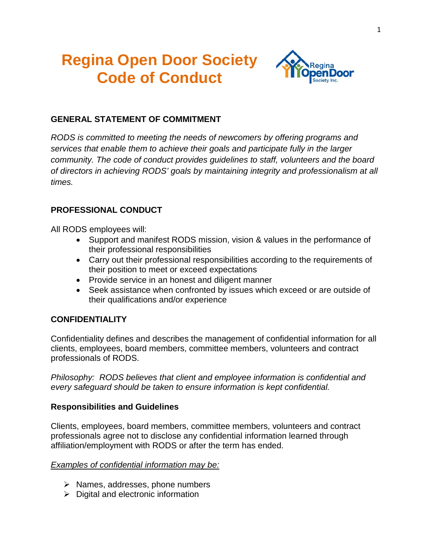# **Regina Open Door Society Code of Conduct**



## **GENERAL STATEMENT OF COMMITMENT**

*RODS is committed to meeting the needs of newcomers by offering programs and services that enable them to achieve their goals and participate fully in the larger community. The code of conduct provides guidelines to staff, volunteers and the board of directors in achieving RODS' goals by maintaining integrity and professionalism at all times.* 

## **PROFESSIONAL CONDUCT**

All RODS employees will:

- Support and manifest RODS mission, vision & values in the performance of their professional responsibilities
- Carry out their professional responsibilities according to the requirements of their position to meet or exceed expectations
- Provide service in an honest and diligent manner
- Seek assistance when confronted by issues which exceed or are outside of their qualifications and/or experience

## **CONFIDENTIALITY**

Confidentiality defines and describes the management of confidential information for all clients, employees, board members, committee members, volunteers and contract professionals of RODS.

*Philosophy: RODS believes that client and employee information is confidential and every safeguard should be taken to ensure information is kept confidential.*

#### **Responsibilities and Guidelines**

Clients, employees, board members, committee members, volunteers and contract professionals agree not to disclose any confidential information learned through affiliation/employment with RODS or after the term has ended.

#### *Examples of confidential information may be:*

- $\triangleright$  Names, addresses, phone numbers
- $\triangleright$  Digital and electronic information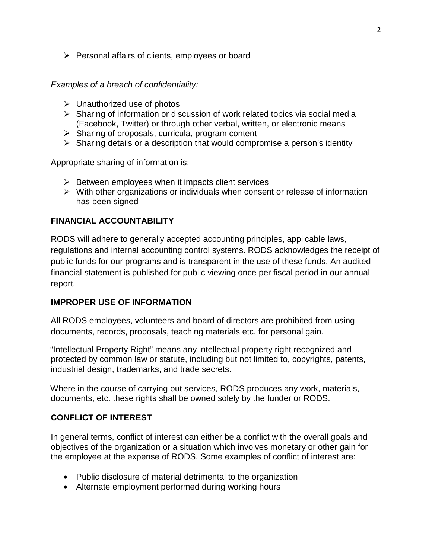$\triangleright$  Personal affairs of clients, employees or board

#### *Examples of a breach of confidentiality:*

- $\triangleright$  Unauthorized use of photos
- $\triangleright$  Sharing of information or discussion of work related topics via social media (Facebook, Twitter) or through other verbal, written, or electronic means
- $\triangleright$  Sharing of proposals, curricula, program content
- $\triangleright$  Sharing details or a description that would compromise a person's identity

Appropriate sharing of information is:

- $\triangleright$  Between employees when it impacts client services
- $\triangleright$  With other organizations or individuals when consent or release of information has been signed

## **FINANCIAL ACCOUNTABILITY**

RODS will adhere to generally accepted accounting principles, applicable laws, regulations and internal accounting control systems. RODS acknowledges the receipt of public funds for our programs and is transparent in the use of these funds. An audited financial statement is published for public viewing once per fiscal period in our annual report.

## **IMPROPER USE OF INFORMATION**

All RODS employees, volunteers and board of directors are prohibited from using documents, records, proposals, teaching materials etc. for personal gain.

"Intellectual Property Right" means any intellectual property right recognized and protected by common law or statute, including but not limited to, copyrights, patents, industrial design, trademarks, and trade secrets.

Where in the course of carrying out services, RODS produces any work, materials, documents, etc. these rights shall be owned solely by the funder or RODS.

## **CONFLICT OF INTEREST**

In general terms, conflict of interest can either be a conflict with the overall goals and objectives of the organization or a situation which involves monetary or other gain for the employee at the expense of RODS. Some examples of conflict of interest are:

- Public disclosure of material detrimental to the organization
- Alternate employment performed during working hours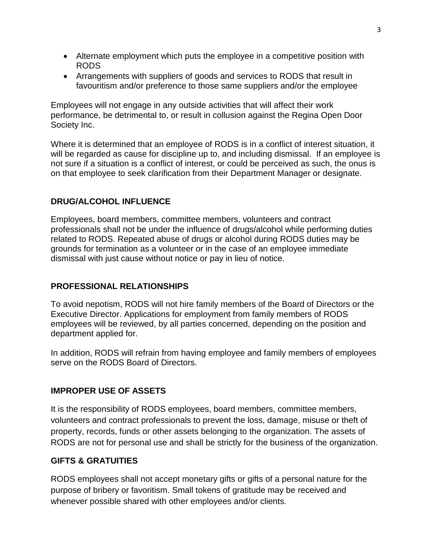- Alternate employment which puts the employee in a competitive position with RODS
- Arrangements with suppliers of goods and services to RODS that result in favouritism and/or preference to those same suppliers and/or the employee

Employees will not engage in any outside activities that will affect their work performance, be detrimental to, or result in collusion against the Regina Open Door Society Inc.

Where it is determined that an employee of RODS is in a conflict of interest situation, it will be regarded as cause for discipline up to, and including dismissal. If an employee is not sure if a situation is a conflict of interest, or could be perceived as such, the onus is on that employee to seek clarification from their Department Manager or designate.

## **DRUG/ALCOHOL INFLUENCE**

Employees, board members, committee members, volunteers and contract professionals shall not be under the influence of drugs/alcohol while performing duties related to RODS. Repeated abuse of drugs or alcohol during RODS duties may be grounds for termination as a volunteer or in the case of an employee immediate dismissal with just cause without notice or pay in lieu of notice.

## **PROFESSIONAL RELATIONSHIPS**

To avoid nepotism, RODS will not hire family members of the Board of Directors or the Executive Director. Applications for employment from family members of RODS employees will be reviewed, by all parties concerned, depending on the position and department applied for.

In addition, RODS will refrain from having employee and family members of employees serve on the RODS Board of Directors.

## **IMPROPER USE OF ASSETS**

It is the responsibility of RODS employees, board members, committee members, volunteers and contract professionals to prevent the loss, damage, misuse or theft of property, records, funds or other assets belonging to the organization. The assets of RODS are not for personal use and shall be strictly for the business of the organization.

#### **GIFTS & GRATUITIES**

RODS employees shall not accept monetary gifts or gifts of a personal nature for the purpose of bribery or favoritism. Small tokens of gratitude may be received and whenever possible shared with other employees and/or clients.